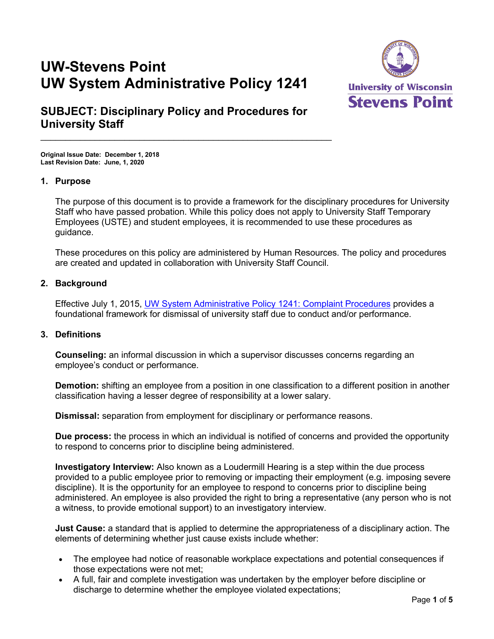# **UW-Stevens Point UW System Administrative Policy 1241**



# **SUBJECT: Disciplinary Policy and Procedures for University Staff**

 $\_$  , and the set of the set of the set of the set of the set of the set of the set of the set of the set of the set of the set of the set of the set of the set of the set of the set of the set of the set of the set of th

**Original Issue Date: December 1, 2018 Last Revision Date: June, 1, 2020**

# **1. Purpose**

The purpose of this document is to provide a framework for the disciplinary procedures for University Staff who have passed probation. While this policy does not apply to University Staff Temporary Employees (USTE) and student employees, it is recommended to use these procedures as guidance.

These procedures on this policy are administered by Human Resources. The policy and procedures are created and updated in collaboration with University Staff Council.

# **2. Background**

Effective July 1, 2015, [UW System Administrative Policy 1241: Complaint Procedures](https://www.wisconsin.edu/uw-policies/uw-system-administrative-policies/complaint-procedures/) provides a foundational framework for dismissal of university staff due to conduct and/or performance.

#### **3. Definitions**

**Counseling:** an informal discussion in which a supervisor discusses concerns regarding an employee's conduct or performance.

**Demotion:** shifting an employee from a position in one classification to a different position in another classification having a lesser degree of responsibility at a lower salary.

**Dismissal:** separation from employment for disciplinary or performance reasons.

**Due process:** the process in which an individual is notified of concerns and provided the opportunity to respond to concerns prior to discipline being administered.

**Investigatory Interview:** Also known as a Loudermill Hearing is a step within the due process provided to a public employee prior to removing or impacting their employment (e.g. imposing severe discipline). It is the opportunity for an employee to respond to concerns prior to discipline being administered. An employee is also provided the right to bring a representative (any person who is not a witness, to provide emotional support) to an investigatory interview.

**Just Cause:** a standard that is applied to determine the appropriateness of a disciplinary action. The elements of determining whether just cause exists include whether:

- The employee had notice of reasonable workplace expectations and potential consequences if those expectations were not met;
- A full, fair and complete investigation was undertaken by the employer before discipline or discharge to determine whether the employee violated expectations;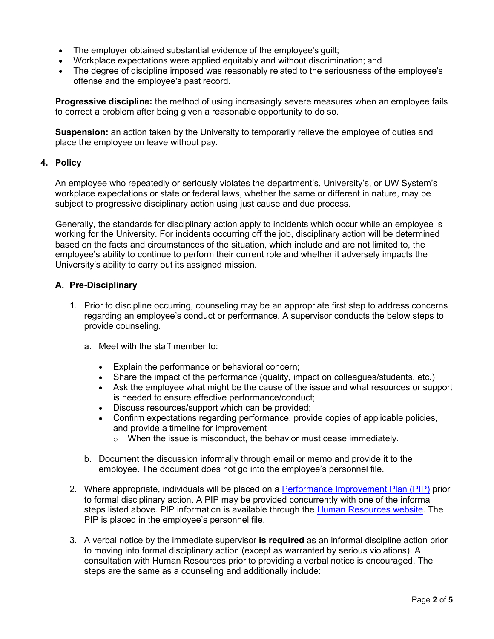- The employer obtained substantial evidence of the employee's guilt;
- Workplace expectations were applied equitably and without discrimination; and
- The degree of discipline imposed was reasonably related to the seriousness of the employee's offense and the employee's past record.

**Progressive discipline:** the method of using increasingly severe measures when an employee fails to correct a problem after being given a reasonable opportunity to do so.

**Suspension:** an action taken by the University to temporarily relieve the employee of duties and place the employee on leave without pay.

#### **4. Policy**

An employee who repeatedly or seriously violates the department's, University's, or UW System's workplace expectations or state or federal laws, whether the same or different in nature, may be subject to progressive disciplinary action using just cause and due process.

Generally, the standards for disciplinary action apply to incidents which occur while an employee is working for the University. For incidents occurring off the job, disciplinary action will be determined based on the facts and circumstances of the situation, which include and are not limited to, the employee's ability to continue to perform their current role and whether it adversely impacts the University's ability to carry out its assigned mission.

# **A. Pre-Disciplinary**

- 1. Prior to discipline occurring, counseling may be an appropriate first step to address concerns regarding an employee's conduct or performance. A supervisor conducts the below steps to provide counseling.
	- a. Meet with the staff member to:
		- Explain the performance or behavioral concern;
		- Share the impact of the performance (quality, impact on colleagues/students, etc.)
		- Ask the employee what might be the cause of the issue and what resources or support is needed to ensure effective performance/conduct;
		- Discuss resources/support which can be provided;
		- Confirm expectations regarding performance, provide copies of applicable policies, and provide a timeline for improvement
			- $\circ$  When the issue is misconduct, the behavior must cease immediately.
	- b. Document the discussion informally through email or memo and provide it to the employee. The document does not go into the employee's personnel file.
- 2. Where appropriate, individuals will be placed on a [Performance Improvement Plan \(PIP\)](https://www.uwsp.edu/hr/Pages/Training%20and%20Development/Performance-Reviews.aspx) prior to formal disciplinary action. A PIP may be provided concurrently with one of the informal steps listed above. PIP information is available through the [Human Resources website.](https://www.uwsp.edu/hr/Pages/Training%20and%20Development/Performance-Reviews.aspx) The PIP is placed in the employee's personnel file.
- 3. A verbal notice by the immediate supervisor **is required** as an informal discipline action prior to moving into formal disciplinary action (except as warranted by serious violations). A consultation with Human Resources prior to providing a verbal notice is encouraged. The steps are the same as a counseling and additionally include: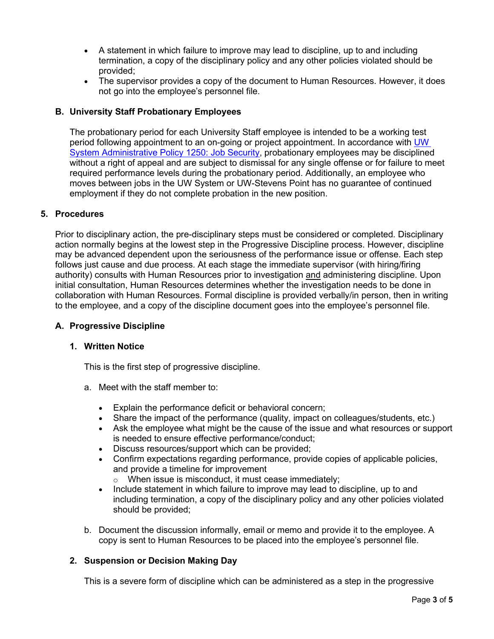- A statement in which failure to improve may lead to discipline, up to and including termination, a copy of the disciplinary policy and any other policies violated should be provided;
- The supervisor provides a copy of the document to Human Resources. However, it does not go into the employee's personnel file.

# **B. University Staff Probationary Employees**

The probationary period for each University Staff employee is intended to be a working test period following appointment to an on-going or project appointment. In accordance with [UW](https://www.wisconsin.edu/uw-policies/uw-system-administrative-policies/job-security/)  [System Administrative Policy 1250: Job Security,](https://www.wisconsin.edu/uw-policies/uw-system-administrative-policies/job-security/) probationary employees may be disciplined without a right of appeal and are subject to dismissal for any single offense or for failure to meet required performance levels during the probationary period. Additionally, an employee who moves between jobs in the UW System or UW-Stevens Point has no guarantee of continued employment if they do not complete probation in the new position.

# **5. Procedures**

Prior to disciplinary action, the pre-disciplinary steps must be considered or completed. Disciplinary action normally begins at the lowest step in the Progressive Discipline process. However, discipline may be advanced dependent upon the seriousness of the performance issue or offense. Each step follows just cause and due process. At each stage the immediate supervisor (with hiring/firing authority) consults with Human Resources prior to investigation and administering discipline. Upon initial consultation, Human Resources determines whether the investigation needs to be done in collaboration with Human Resources. Formal discipline is provided verbally/in person, then in writing to the employee, and a copy of the discipline document goes into the employee's personnel file.

#### **A. Progressive Discipline**

#### **1. Written Notice**

This is the first step of progressive discipline.

- a. Meet with the staff member to:
	- Explain the performance deficit or behavioral concern;
	- Share the impact of the performance (quality, impact on colleagues/students, etc.)
	- Ask the employee what might be the cause of the issue and what resources or support is needed to ensure effective performance/conduct;
	- Discuss resources/support which can be provided;
	- Confirm expectations regarding performance, provide copies of applicable policies, and provide a timeline for improvement
		- o When issue is misconduct, it must cease immediately;
	- Include statement in which failure to improve may lead to discipline, up to and including termination, a copy of the disciplinary policy and any other policies violated should be provided;
- b. Document the discussion informally, email or memo and provide it to the employee. A copy is sent to Human Resources to be placed into the employee's personnel file.

#### **2. Suspension or Decision Making Day**

This is a severe form of discipline which can be administered as a step in the progressive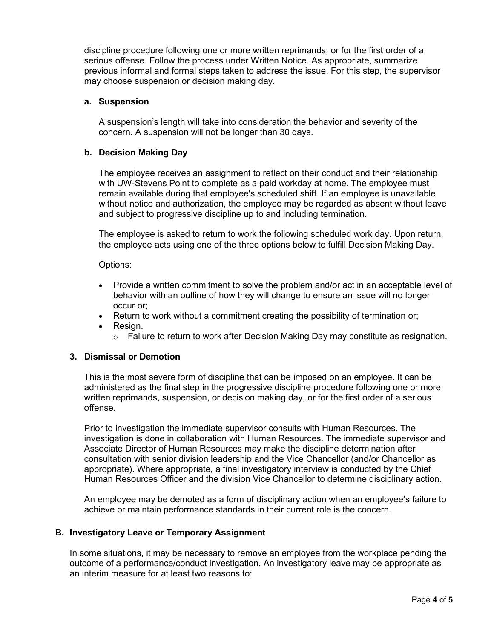discipline procedure following one or more written reprimands, or for the first order of a serious offense. Follow the process under Written Notice. As appropriate, summarize previous informal and formal steps taken to address the issue. For this step, the supervisor may choose suspension or decision making day.

#### **a. Suspension**

A suspension's length will take into consideration the behavior and severity of the concern. A suspension will not be longer than 30 days.

#### **b. Decision Making Day**

The employee receives an assignment to reflect on their conduct and their relationship with UW-Stevens Point to complete as a paid workday at home. The employee must remain available during that employee's scheduled shift. If an employee is unavailable without notice and authorization, the employee may be regarded as absent without leave and subject to progressive discipline up to and including termination.

The employee is asked to return to work the following scheduled work day. Upon return, the employee acts using one of the three options below to fulfill Decision Making Day.

Options:

- Provide a written commitment to solve the problem and/or act in an acceptable level of behavior with an outline of how they will change to ensure an issue will no longer occur or;
- Return to work without a commitment creating the possibility of termination or;
- Resign.
	- $\circ$  Failure to return to work after Decision Making Day may constitute as resignation.

#### **3. Dismissal or Demotion**

This is the most severe form of discipline that can be imposed on an employee. It can be administered as the final step in the progressive discipline procedure following one or more written reprimands, suspension, or decision making day, or for the first order of a serious offense.

Prior to investigation the immediate supervisor consults with Human Resources. The investigation is done in collaboration with Human Resources. The immediate supervisor and Associate Director of Human Resources may make the discipline determination after consultation with senior division leadership and the Vice Chancellor (and/or Chancellor as appropriate). Where appropriate, a final investigatory interview is conducted by the Chief Human Resources Officer and the division Vice Chancellor to determine disciplinary action.

An employee may be demoted as a form of disciplinary action when an employee's failure to achieve or maintain performance standards in their current role is the concern.

#### **B. Investigatory Leave or Temporary Assignment**

In some situations, it may be necessary to remove an employee from the workplace pending the outcome of a performance/conduct investigation. An investigatory leave may be appropriate as an interim measure for at least two reasons to: